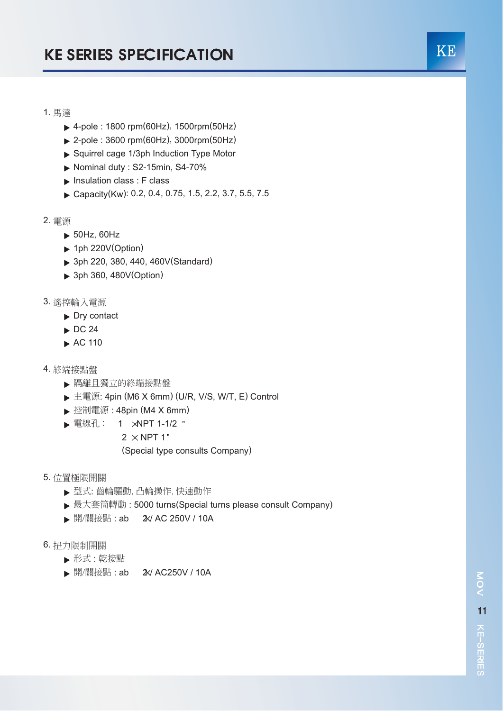## 1. 馬達

- ▶ 4-pole : 1800 rpm(60Hz), 1500rpm(50Hz)
- 2-pole : 3600 rpm(60Hz), 3000rpm(50Hz)
- Squirrel cage 1/3ph Induction Type Motor
- $\blacktriangleright$  Nominal duty : S2-15min, S4-70%
- Insulation class : F class
- ▶ Capacity(Kw): 0.2, 0.4, 0.75, 1.5, 2.2, 3.7, 5.5, 7.5
- 2. 電源
	- ▶ 50Hz, 60Hz
	- $\blacktriangleright$  1ph 220V(Option)
	- ▶ 3ph 220, 380, 440, 460V(Standard)
	- ▶ 3ph 360, 480V(Option)
- 3. 遙控輪入電源
	- Dry contact
	- $\triangleright$  DC 24
	- AC 110
- 4. 終端接點盤
	- 隔離且獨立的終端接點盤
	- ▶ 主電源: 4pin (M6 X 6mm) (U/R, V/S, W/T, E) Control
	- ▶ 控制電源: 48pin (M4 X 6mm)
	- ▶ 電線孔: 1 xNPT 1-1/2 "
		- $2 \times$  NPT 1"
		- (Special type consults Company)
- 5. 位置極限開關
	- 型式: 齒輪驅動, 凸輪操作, 快速動作
	- ▶ 最大套筒轉動 : 5000 turns(Special turns please consult Company)
	- ▶ 開/關接點: ab 2 2/ AC 250V / 10A
- 6. 扭力限制開關
	- 形式 : 乾接點
	- ▶ 開/關接點: ab 2 2 AC250 V / 10 A

KE